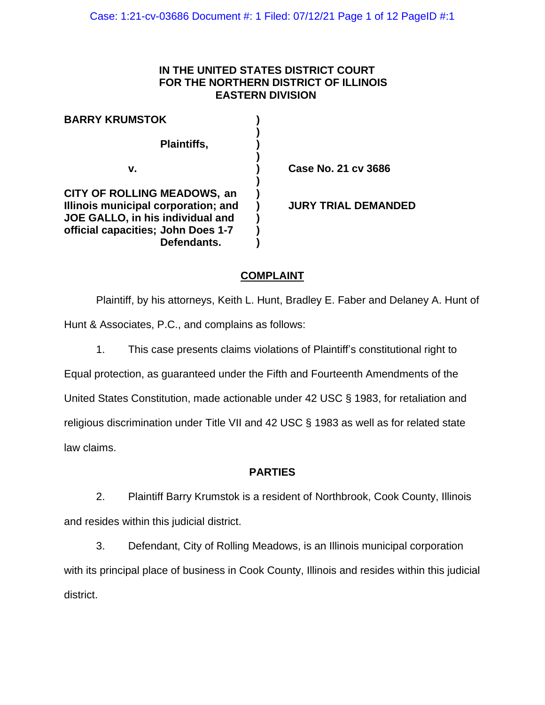#### **IN THE UNITED STATES DISTRICT COURT FOR THE NORTHERN DISTRICT OF ILLINOIS EASTERN DIVISION**

| <b>BARRY KRUMSTOK</b>                                                                                                                                              |                            |
|--------------------------------------------------------------------------------------------------------------------------------------------------------------------|----------------------------|
| Plaintiffs,                                                                                                                                                        |                            |
| ۷.                                                                                                                                                                 | Case No. 21 cv 3686        |
| <b>CITY OF ROLLING MEADOWS, an</b><br>Illinois municipal corporation; and<br>JOE GALLO, in his individual and<br>official capacities; John Does 1-7<br>Defendants. | <b>JURY TRIAL DEMANDED</b> |

## **COMPLAINT**

Plaintiff, by his attorneys, Keith L. Hunt, Bradley E. Faber and Delaney A. Hunt of Hunt & Associates, P.C., and complains as follows:

1. This case presents claims violations of Plaintiff's constitutional right to

Equal protection, as guaranteed under the Fifth and Fourteenth Amendments of the United States Constitution, made actionable under 42 USC § 1983, for retaliation and religious discrimination under Title VII and 42 USC § 1983 as well as for related state law claims.

### **PARTIES**

2. Plaintiff Barry Krumstok is a resident of Northbrook, Cook County, Illinois and resides within this judicial district.

3. Defendant, City of Rolling Meadows, is an Illinois municipal corporation with its principal place of business in Cook County, Illinois and resides within this judicial district.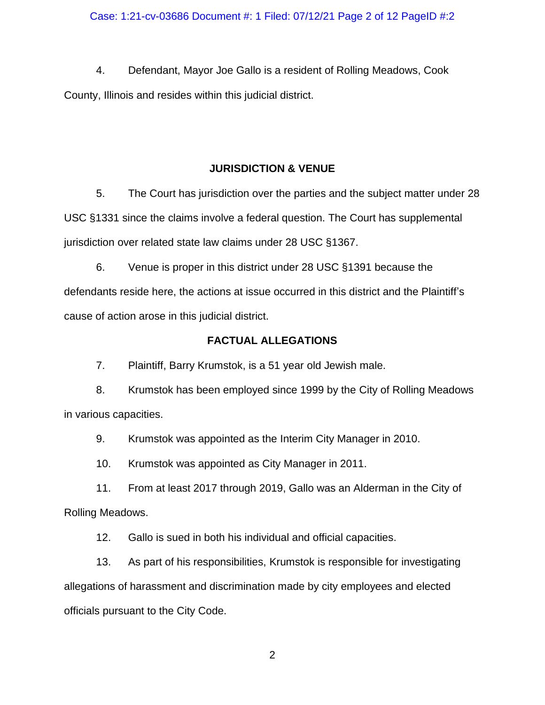#### Case: 1:21-cv-03686 Document #: 1 Filed: 07/12/21 Page 2 of 12 PageID #:2

4. Defendant, Mayor Joe Gallo is a resident of Rolling Meadows, Cook County, Illinois and resides within this judicial district.

#### **JURISDICTION & VENUE**

5. The Court has jurisdiction over the parties and the subject matter under 28 USC §1331 since the claims involve a federal question. The Court has supplemental jurisdiction over related state law claims under 28 USC §1367.

6. Venue is proper in this district under 28 USC §1391 because the defendants reside here, the actions at issue occurred in this district and the Plaintiff's cause of action arose in this judicial district.

#### **FACTUAL ALLEGATIONS**

7. Plaintiff, Barry Krumstok, is a 51 year old Jewish male.

8. Krumstok has been employed since 1999 by the City of Rolling Meadows in various capacities.

9. Krumstok was appointed as the Interim City Manager in 2010.

10. Krumstok was appointed as City Manager in 2011.

11. From at least 2017 through 2019, Gallo was an Alderman in the City of Rolling Meadows.

12. Gallo is sued in both his individual and official capacities.

13. As part of his responsibilities, Krumstok is responsible for investigating allegations of harassment and discrimination made by city employees and elected officials pursuant to the City Code.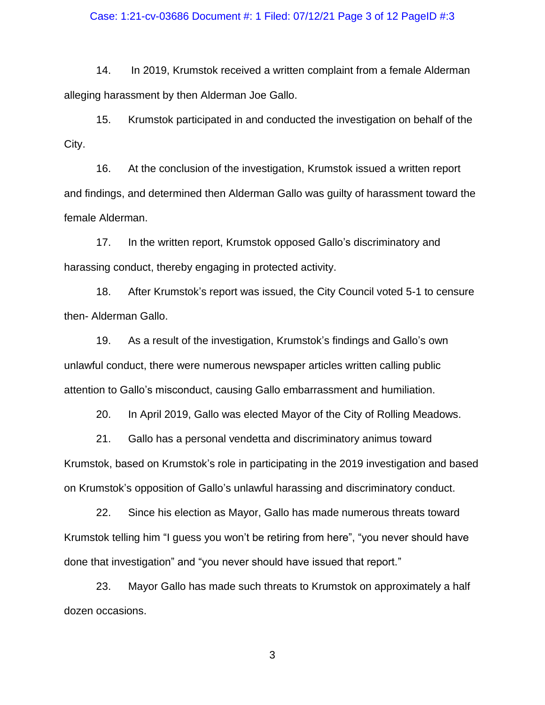#### Case: 1:21-cv-03686 Document #: 1 Filed: 07/12/21 Page 3 of 12 PageID #:3

14. In 2019, Krumstok received a written complaint from a female Alderman alleging harassment by then Alderman Joe Gallo.

15. Krumstok participated in and conducted the investigation on behalf of the City.

16. At the conclusion of the investigation, Krumstok issued a written report and findings, and determined then Alderman Gallo was guilty of harassment toward the female Alderman.

17. In the written report, Krumstok opposed Gallo's discriminatory and harassing conduct, thereby engaging in protected activity.

18. After Krumstok's report was issued, the City Council voted 5-1 to censure then- Alderman Gallo.

19. As a result of the investigation, Krumstok's findings and Gallo's own unlawful conduct, there were numerous newspaper articles written calling public attention to Gallo's misconduct, causing Gallo embarrassment and humiliation.

20. In April 2019, Gallo was elected Mayor of the City of Rolling Meadows.

21. Gallo has a personal vendetta and discriminatory animus toward Krumstok, based on Krumstok's role in participating in the 2019 investigation and based on Krumstok's opposition of Gallo's unlawful harassing and discriminatory conduct.

22. Since his election as Mayor, Gallo has made numerous threats toward Krumstok telling him "I guess you won't be retiring from here", "you never should have done that investigation" and "you never should have issued that report."

23. Mayor Gallo has made such threats to Krumstok on approximately a half dozen occasions.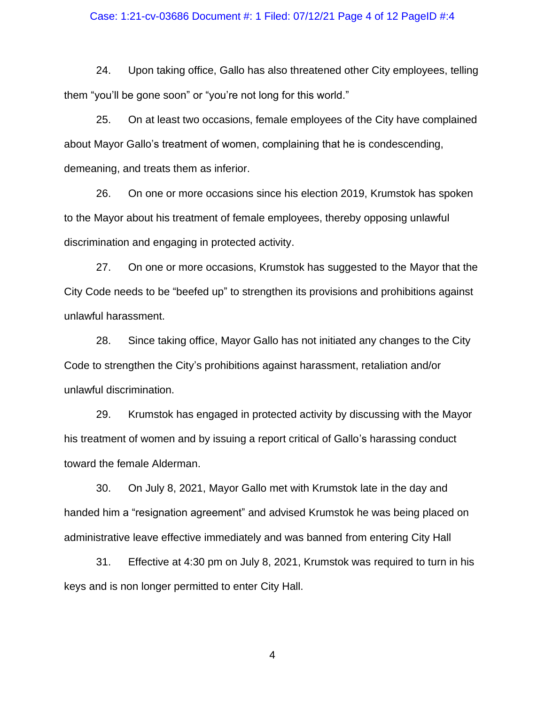#### Case: 1:21-cv-03686 Document #: 1 Filed: 07/12/21 Page 4 of 12 PageID #:4

24. Upon taking office, Gallo has also threatened other City employees, telling them "you'll be gone soon" or "you're not long for this world."

25. On at least two occasions, female employees of the City have complained about Mayor Gallo's treatment of women, complaining that he is condescending, demeaning, and treats them as inferior.

26. On one or more occasions since his election 2019, Krumstok has spoken to the Mayor about his treatment of female employees, thereby opposing unlawful discrimination and engaging in protected activity.

27. On one or more occasions, Krumstok has suggested to the Mayor that the City Code needs to be "beefed up" to strengthen its provisions and prohibitions against unlawful harassment.

28. Since taking office, Mayor Gallo has not initiated any changes to the City Code to strengthen the City's prohibitions against harassment, retaliation and/or unlawful discrimination.

29. Krumstok has engaged in protected activity by discussing with the Mayor his treatment of women and by issuing a report critical of Gallo's harassing conduct toward the female Alderman.

30. On July 8, 2021, Mayor Gallo met with Krumstok late in the day and handed him a "resignation agreement" and advised Krumstok he was being placed on administrative leave effective immediately and was banned from entering City Hall

31. Effective at 4:30 pm on July 8, 2021, Krumstok was required to turn in his keys and is non longer permitted to enter City Hall.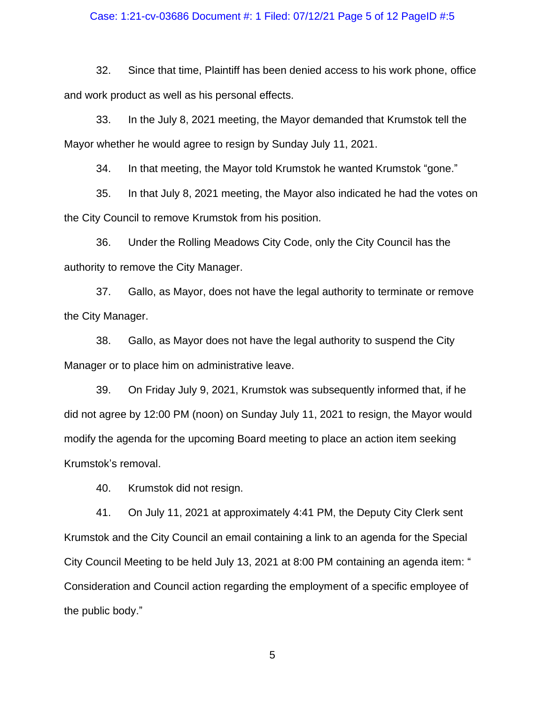#### Case: 1:21-cv-03686 Document #: 1 Filed: 07/12/21 Page 5 of 12 PageID #:5

32. Since that time, Plaintiff has been denied access to his work phone, office and work product as well as his personal effects.

33. In the July 8, 2021 meeting, the Mayor demanded that Krumstok tell the Mayor whether he would agree to resign by Sunday July 11, 2021.

34. In that meeting, the Mayor told Krumstok he wanted Krumstok "gone."

35. In that July 8, 2021 meeting, the Mayor also indicated he had the votes on the City Council to remove Krumstok from his position.

36. Under the Rolling Meadows City Code, only the City Council has the authority to remove the City Manager.

37. Gallo, as Mayor, does not have the legal authority to terminate or remove the City Manager.

38. Gallo, as Mayor does not have the legal authority to suspend the City Manager or to place him on administrative leave.

39. On Friday July 9, 2021, Krumstok was subsequently informed that, if he did not agree by 12:00 PM (noon) on Sunday July 11, 2021 to resign, the Mayor would modify the agenda for the upcoming Board meeting to place an action item seeking Krumstok's removal.

40. Krumstok did not resign.

41. On July 11, 2021 at approximately 4:41 PM, the Deputy City Clerk sent Krumstok and the City Council an email containing a link to an agenda for the Special City Council Meeting to be held July 13, 2021 at 8:00 PM containing an agenda item: " Consideration and Council action regarding the employment of a specific employee of the public body."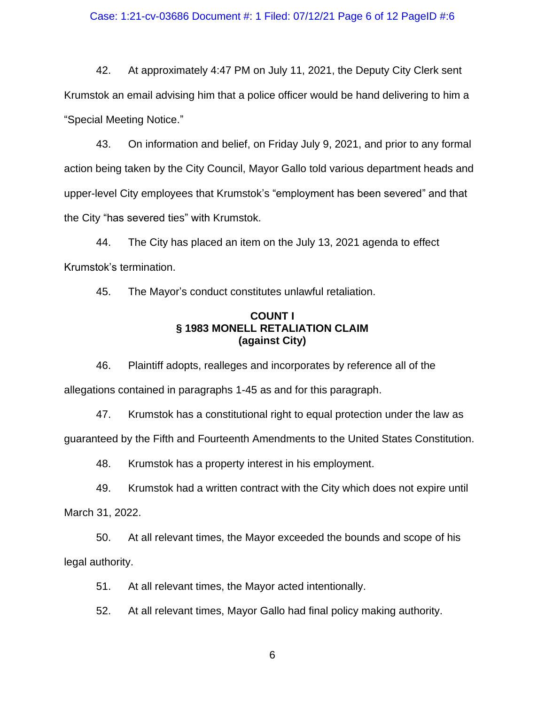#### Case: 1:21-cv-03686 Document #: 1 Filed: 07/12/21 Page 6 of 12 PageID #:6

42. At approximately 4:47 PM on July 11, 2021, the Deputy City Clerk sent Krumstok an email advising him that a police officer would be hand delivering to him a "Special Meeting Notice."

43. On information and belief, on Friday July 9, 2021, and prior to any formal action being taken by the City Council, Mayor Gallo told various department heads and upper-level City employees that Krumstok's "employment has been severed" and that the City "has severed ties" with Krumstok.

44. The City has placed an item on the July 13, 2021 agenda to effect Krumstok's termination.

45. The Mayor's conduct constitutes unlawful retaliation.

### **COUNT I § 1983 MONELL RETALIATION CLAIM (against City)**

46. Plaintiff adopts, realleges and incorporates by reference all of the allegations contained in paragraphs 1-45 as and for this paragraph.

47. Krumstok has a constitutional right to equal protection under the law as guaranteed by the Fifth and Fourteenth Amendments to the United States Constitution.

48. Krumstok has a property interest in his employment.

49. Krumstok had a written contract with the City which does not expire until

March 31, 2022.

50. At all relevant times, the Mayor exceeded the bounds and scope of his legal authority.

51. At all relevant times, the Mayor acted intentionally.

52. At all relevant times, Mayor Gallo had final policy making authority.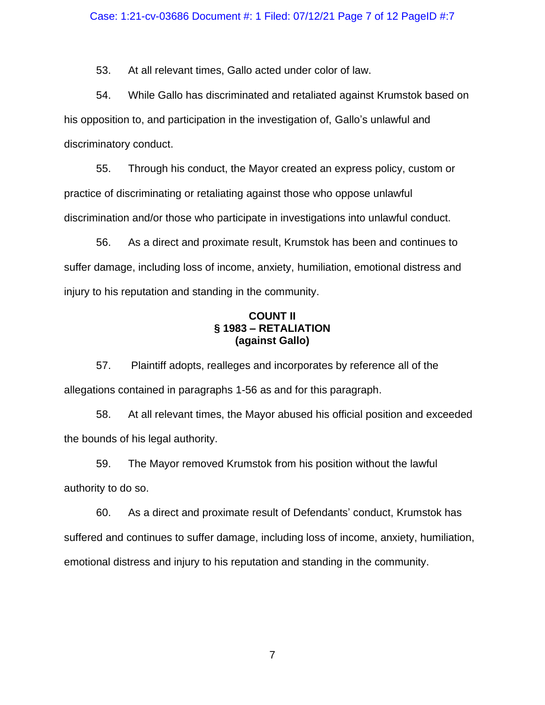53. At all relevant times, Gallo acted under color of law.

54. While Gallo has discriminated and retaliated against Krumstok based on his opposition to, and participation in the investigation of, Gallo's unlawful and discriminatory conduct.

55. Through his conduct, the Mayor created an express policy, custom or practice of discriminating or retaliating against those who oppose unlawful discrimination and/or those who participate in investigations into unlawful conduct.

56. As a direct and proximate result, Krumstok has been and continues to suffer damage, including loss of income, anxiety, humiliation, emotional distress and injury to his reputation and standing in the community.

### **COUNT II § 1983 – RETALIATION (against Gallo)**

57. Plaintiff adopts, realleges and incorporates by reference all of the allegations contained in paragraphs 1-56 as and for this paragraph.

58. At all relevant times, the Mayor abused his official position and exceeded the bounds of his legal authority.

59. The Mayor removed Krumstok from his position without the lawful authority to do so.

60. As a direct and proximate result of Defendants' conduct, Krumstok has suffered and continues to suffer damage, including loss of income, anxiety, humiliation, emotional distress and injury to his reputation and standing in the community.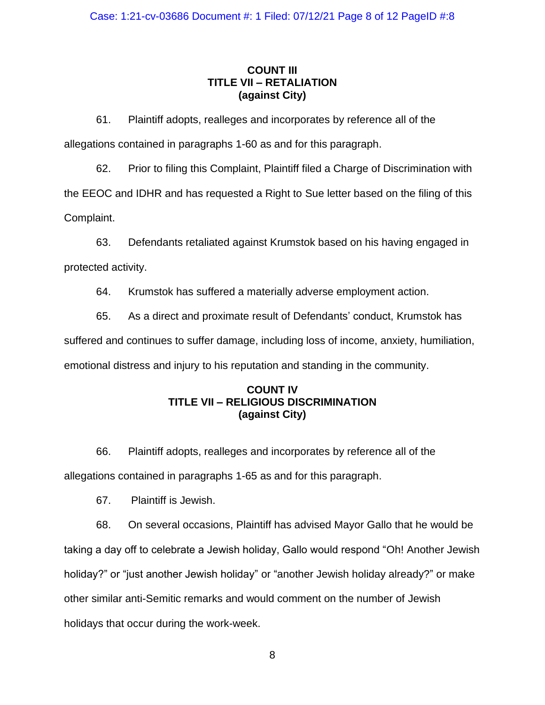# **COUNT III TITLE VII – RETALIATION (against City)**

61. Plaintiff adopts, realleges and incorporates by reference all of the allegations contained in paragraphs 1-60 as and for this paragraph.

62. Prior to filing this Complaint, Plaintiff filed a Charge of Discrimination with the EEOC and IDHR and has requested a Right to Sue letter based on the filing of this Complaint.

63. Defendants retaliated against Krumstok based on his having engaged in protected activity.

64. Krumstok has suffered a materially adverse employment action.

65. As a direct and proximate result of Defendants' conduct, Krumstok has suffered and continues to suffer damage, including loss of income, anxiety, humiliation, emotional distress and injury to his reputation and standing in the community.

## **COUNT IV TITLE VII – RELIGIOUS DISCRIMINATION (against City)**

66. Plaintiff adopts, realleges and incorporates by reference all of the allegations contained in paragraphs 1-65 as and for this paragraph.

67. Plaintiff is Jewish.

68. On several occasions, Plaintiff has advised Mayor Gallo that he would be taking a day off to celebrate a Jewish holiday, Gallo would respond "Oh! Another Jewish holiday?" or "just another Jewish holiday" or "another Jewish holiday already?" or make other similar anti-Semitic remarks and would comment on the number of Jewish holidays that occur during the work-week.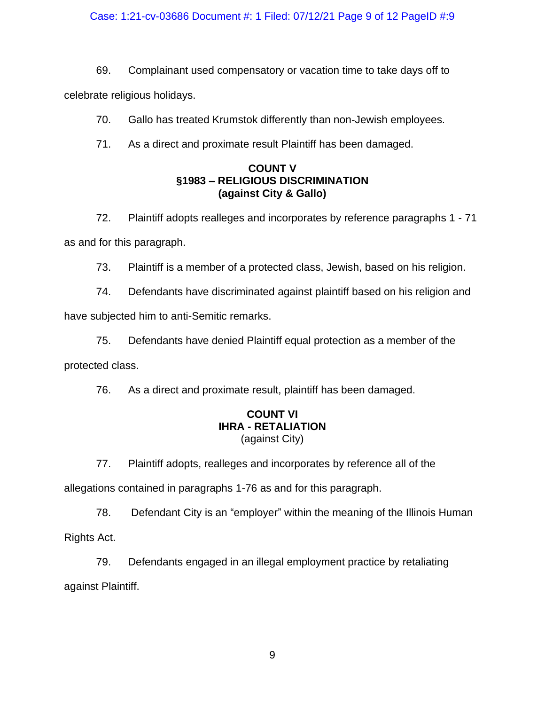#### Case: 1:21-cv-03686 Document #: 1 Filed: 07/12/21 Page 9 of 12 PageID #:9

69. Complainant used compensatory or vacation time to take days off to

celebrate religious holidays.

70. Gallo has treated Krumstok differently than non-Jewish employees.

71. As a direct and proximate result Plaintiff has been damaged.

## **COUNT V §1983 – RELIGIOUS DISCRIMINATION (against City & Gallo)**

72. Plaintiff adopts realleges and incorporates by reference paragraphs 1 - 71 as and for this paragraph.

73. Plaintiff is a member of a protected class, Jewish, based on his religion.

74. Defendants have discriminated against plaintiff based on his religion and have subjected him to anti-Semitic remarks.

75. Defendants have denied Plaintiff equal protection as a member of the protected class.

76. As a direct and proximate result, plaintiff has been damaged.

### **COUNT VI IHRA - RETALIATION** (against City)

77. Plaintiff adopts, realleges and incorporates by reference all of the

allegations contained in paragraphs 1-76 as and for this paragraph.

78. Defendant City is an "employer" within the meaning of the Illinois Human Rights Act.

79. Defendants engaged in an illegal employment practice by retaliating against Plaintiff.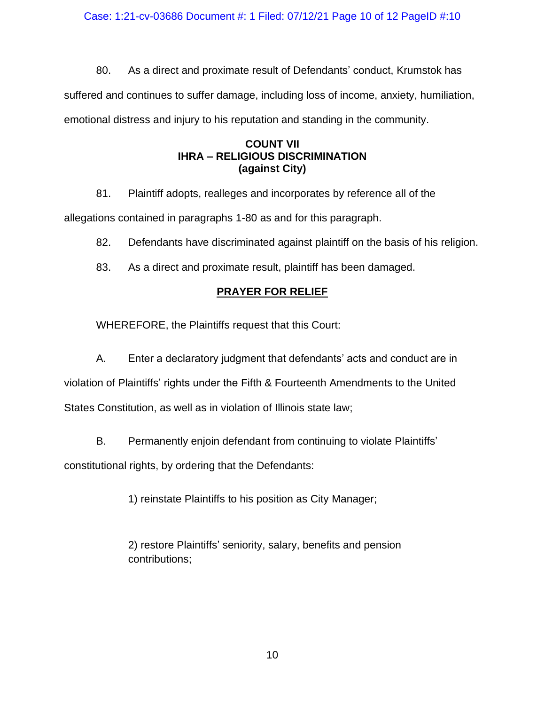Case: 1:21-cv-03686 Document #: 1 Filed: 07/12/21 Page 10 of 12 PageID #:10

80. As a direct and proximate result of Defendants' conduct, Krumstok has suffered and continues to suffer damage, including loss of income, anxiety, humiliation, emotional distress and injury to his reputation and standing in the community.

## **COUNT VII IHRA – RELIGIOUS DISCRIMINATION (against City)**

81. Plaintiff adopts, realleges and incorporates by reference all of the

allegations contained in paragraphs 1-80 as and for this paragraph.

82. Defendants have discriminated against plaintiff on the basis of his religion.

83. As a direct and proximate result, plaintiff has been damaged.

# **PRAYER FOR RELIEF**

WHEREFORE, the Plaintiffs request that this Court:

A. Enter a declaratory judgment that defendants' acts and conduct are in violation of Plaintiffs' rights under the Fifth & Fourteenth Amendments to the United States Constitution, as well as in violation of Illinois state law;

B. Permanently enjoin defendant from continuing to violate Plaintiffs' constitutional rights, by ordering that the Defendants:

1) reinstate Plaintiffs to his position as City Manager;

2) restore Plaintiffs' seniority, salary, benefits and pension contributions;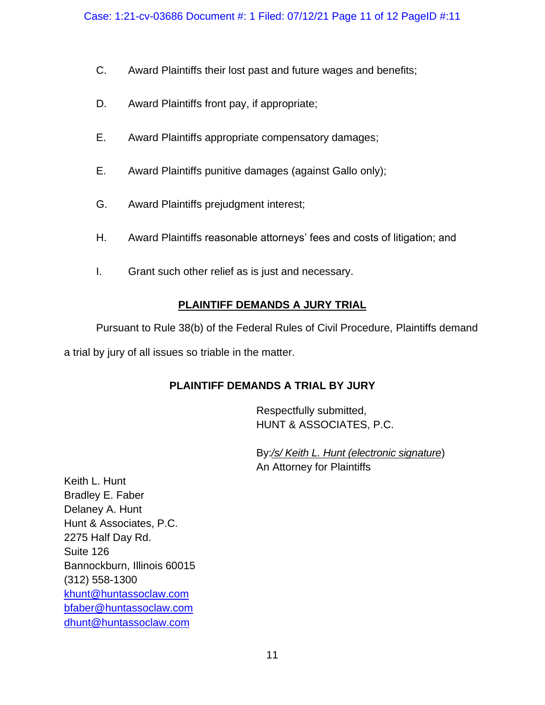- C. Award Plaintiffs their lost past and future wages and benefits;
- D. Award Plaintiffs front pay, if appropriate;
- E. Award Plaintiffs appropriate compensatory damages;
- E. Award Plaintiffs punitive damages (against Gallo only);
- G. Award Plaintiffs prejudgment interest;
- H. Award Plaintiffs reasonable attorneys' fees and costs of litigation; and
- I. Grant such other relief as is just and necessary.

# **PLAINTIFF DEMANDS A JURY TRIAL**

Pursuant to Rule 38(b) of the Federal Rules of Civil Procedure, Plaintiffs demand a trial by jury of all issues so triable in the matter.

# **PLAINTIFF DEMANDS A TRIAL BY JURY**

Respectfully submitted, HUNT & ASSOCIATES, P.C.

By:*/s/ Keith L. Hunt (electronic signature*) An Attorney for Plaintiffs

Keith L. Hunt Bradley E. Faber Delaney A. Hunt Hunt & Associates, P.C. 2275 Half Day Rd. Suite 126 Bannockburn, Illinois 60015 (312) 558-1300 [khunt@huntassoclaw.com](mailto:khunt@huntassoclaw.com) [bfaber@huntassoclaw.com](mailto:bfaber@huntassoclaw.com) dhunt@huntassoclaw.com